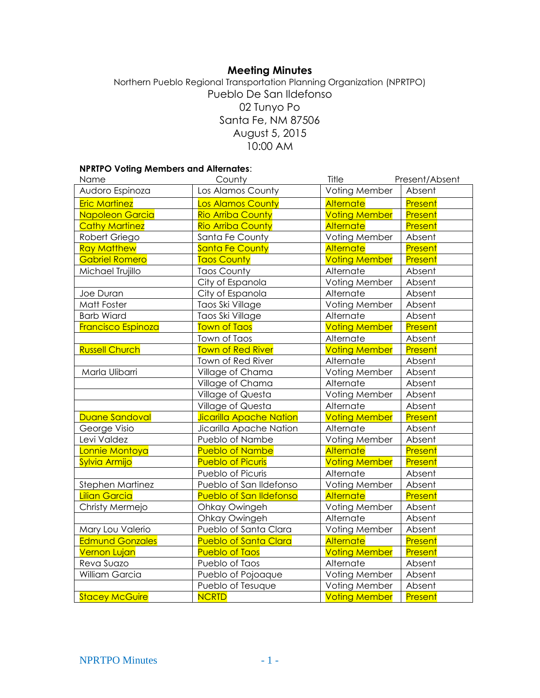# **Meeting Minutes**

# Northern Pueblo Regional Transportation Planning Organization (NPRTPO) Pueblo De San Ildefonso 02 Tunyo Po Santa Fe, NM 87506 August 5, 2015 10:00 AM

### **NPRTPO Voting Members and Alternates**:

| Name                      | County                         | Title                | Present/Absent |
|---------------------------|--------------------------------|----------------------|----------------|
| Audoro Espinoza           | Los Alamos County              | Voting Member        | Absent         |
| <b>Eric Martinez</b>      | <b>Los Alamos County</b>       | Alternate            | Present        |
| Napoleon Garcia           | <b>Rio Arriba County</b>       | <b>Voting Member</b> | Present        |
| <b>Cathy Martinez</b>     | <b>Rio Arriba County</b>       | <b>Alternate</b>     | Present        |
| Robert Griego             | Santa Fe County                | Voting Member        | Absent         |
| <b>Ray Matthew</b>        | <b>Santa Fe County</b>         | Alternate            | Present        |
| <b>Gabriel Romero</b>     | <b>Taos County</b>             | <b>Voting Member</b> | Present        |
| Michael Trujillo          | <b>Taos County</b>             | Alternate            | Absent         |
|                           | City of Espanola               | Voting Member        | Absent         |
| Joe Duran                 | City of Espanola               | Alternate            | Absent         |
| Matt Foster               | Taos Ski Village               | Voting Member        | Absent         |
| <b>Barb Wiard</b>         | Taos Ski Village               | Alternate            | Absent         |
| <b>Francisco Espinoza</b> | <b>Town of Taos</b>            | <b>Voting Member</b> | <b>Present</b> |
|                           | Town of Taos                   | Alternate            | Absent         |
| <b>Russell Church</b>     | <b>Town of Red River</b>       | <b>Voting Member</b> | Present        |
|                           | Town of Red River              | Alternate            | Absent         |
| Marla Ulibarri            | Village of Chama               | Voting Member        | Absent         |
|                           | Village of Chama               | Alternate            | Absent         |
|                           | Village of Questa              | Voting Member        | Absent         |
|                           | Village of Questa              | Alternate            | Absent         |
| <b>Duane Sandoval</b>     | <b>Jicarilla Apache Nation</b> | <b>Voting Member</b> | Present        |
| George Visio              | Jicarilla Apache Nation        | Alternate            | Absent         |
| Levi Valdez               | Pueblo of Nambe                | Voting Member        | Absent         |
| Lonnie Montoya            | <b>Pueblo of Nambe</b>         | Alternate            | Present        |
| Sylvia Armijo             | <b>Pueblo of Picuris</b>       | <b>Voting Member</b> | Present        |
|                           | Pueblo of Picuris              | Alternate            | Absent         |
| Stephen Martinez          | Pueblo of San Ildefonso        | Voting Member        | Absent         |
| <b>Lilian Garcia</b>      | <b>Pueblo of San Ildefonso</b> | Alternate            | Present        |
| Christy Mermejo           | Ohkay Owingeh                  | Voting Member        | Absent         |
|                           | Ohkay Owingeh                  | Alternate            | Absent         |
| Mary Lou Valerio          | Pueblo of Santa Clara          | Voting Member        | Absent         |
| <b>Edmund Gonzales</b>    | <b>Pueblo of Santa Clara</b>   | <b>Alternate</b>     | Present        |
| <b>Vernon Lujan</b>       | <b>Pueblo of Taos</b>          | <b>Voting Member</b> | Present        |
| Reva Suazo                | Pueblo of Taos                 | Alternate            | Absent         |
| William Garcia            | Pueblo of Pojoaque             | Voting Member        | Absent         |
|                           | Pueblo of Tesuque              | Voting Member        | Absent         |
| <b>Stacey McGuire</b>     | <b>NCRTD</b>                   | <b>Voting Member</b> | Present        |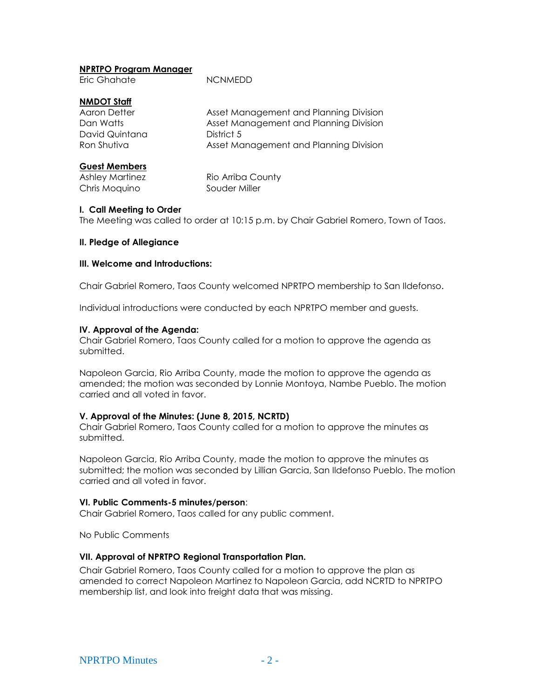### **NPRTPO Program Manager**

Eric Ghahate NCNMEDD

# **NMDOT Staff**

| Aaron Detter   | Asset Management and Planning Division |
|----------------|----------------------------------------|
| Dan Watts      | Asset Management and Planning Division |
| David Quintana | District 5                             |
| Ron Shutiva    | Asset Management and Planning Division |

# **Guest Members**

Chris Moquino Souder Miller

Ashley Martinez Rio Arriba County

## **I. Call Meeting to Order**

The Meeting was called to order at 10:15 p.m. by Chair Gabriel Romero, Town of Taos.

## **II. Pledge of Allegiance**

# **III. Welcome and Introductions:**

Chair Gabriel Romero, Taos County welcomed NPRTPO membership to San Ildefonso.

Individual introductions were conducted by each NPRTPO member and guests.

## **IV. Approval of the Agenda:**

Chair Gabriel Romero, Taos County called for a motion to approve the agenda as submitted.

Napoleon Garcia, Rio Arriba County, made the motion to approve the agenda as amended; the motion was seconded by Lonnie Montoya, Nambe Pueblo. The motion carried and all voted in favor.

#### **V. Approval of the Minutes: (June 8, 2015, NCRTD)**

Chair Gabriel Romero, Taos County called for a motion to approve the minutes as submitted.

Napoleon Garcia, Rio Arriba County, made the motion to approve the minutes as submitted; the motion was seconded by Lillian Garcia, San Ildefonso Pueblo. The motion carried and all voted in favor.

#### **VI. Public Comments-5 minutes/person**:

Chair Gabriel Romero, Taos called for any public comment.

No Public Comments

#### **VII. Approval of NPRTPO Regional Transportation Plan.**

Chair Gabriel Romero, Taos County called for a motion to approve the plan as amended to correct Napoleon Martinez to Napoleon Garcia, add NCRTD to NPRTPO membership list, and look into freight data that was missing.